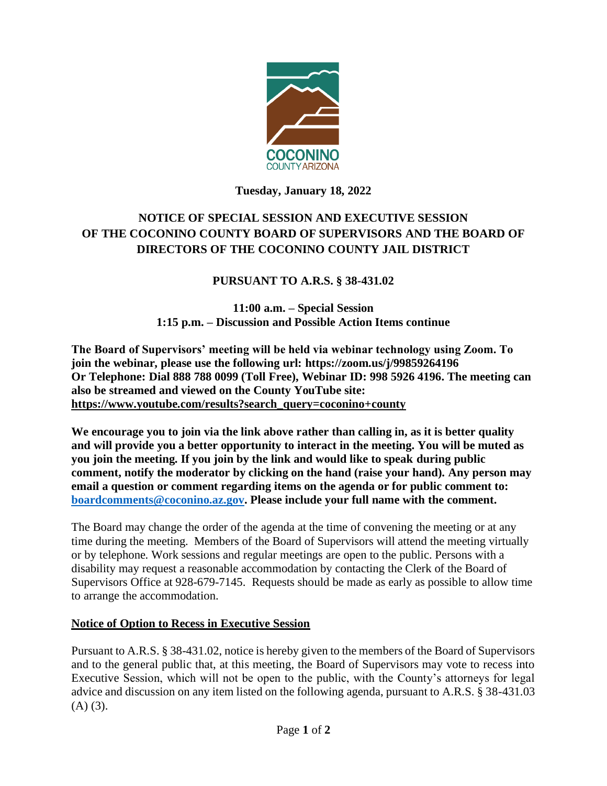

## **Tuesday, January 18, 2022**

# **NOTICE OF SPECIAL SESSION AND EXECUTIVE SESSION OF THE COCONINO COUNTY BOARD OF SUPERVISORS AND THE BOARD OF DIRECTORS OF THE COCONINO COUNTY JAIL DISTRICT**

# **PURSUANT TO A.R.S. § 38-431.02**

**11:00 a.m. – Special Session 1:15 p.m. – Discussion and Possible Action Items continue**

**The Board of Supervisors' meeting will be held via webinar technology using Zoom. To join the webinar, please use the following url: https://zoom.us/j/99859264196 Or Telephone: Dial 888 788 0099 (Toll Free), Webinar ID: 998 5926 4196. The meeting can also be streamed and viewed on the County YouTube site: [https://www.youtube.com/results?search\\_query=coconino+county](https://www.youtube.com/results?search_query=coconino+county)**

**We encourage you to join via the link above rather than calling in, as it is better quality and will provide you a better opportunity to interact in the meeting. You will be muted as you join the meeting. If you join by the link and would like to speak during public comment, notify the moderator by clicking on the hand (raise your hand). Any person may email a question or comment regarding items on the agenda or for public comment to: [boardcomments@coconino.az.gov.](mailto:boardcomments@coconino.az.gov) Please include your full name with the comment.** 

The Board may change the order of the agenda at the time of convening the meeting or at any time during the meeting. Members of the Board of Supervisors will attend the meeting virtually or by telephone. Work sessions and regular meetings are open to the public. Persons with a disability may request a reasonable accommodation by contacting the Clerk of the Board of Supervisors Office at 928-679-7145. Requests should be made as early as possible to allow time to arrange the accommodation.

## **Notice of Option to Recess in Executive Session**

Pursuant to A.R.S. § 38-431.02, notice is hereby given to the members of the Board of Supervisors and to the general public that, at this meeting, the Board of Supervisors may vote to recess into Executive Session, which will not be open to the public, with the County's attorneys for legal advice and discussion on any item listed on the following agenda, pursuant to A.R.S. § 38-431.03  $(A)$   $(3)$ .